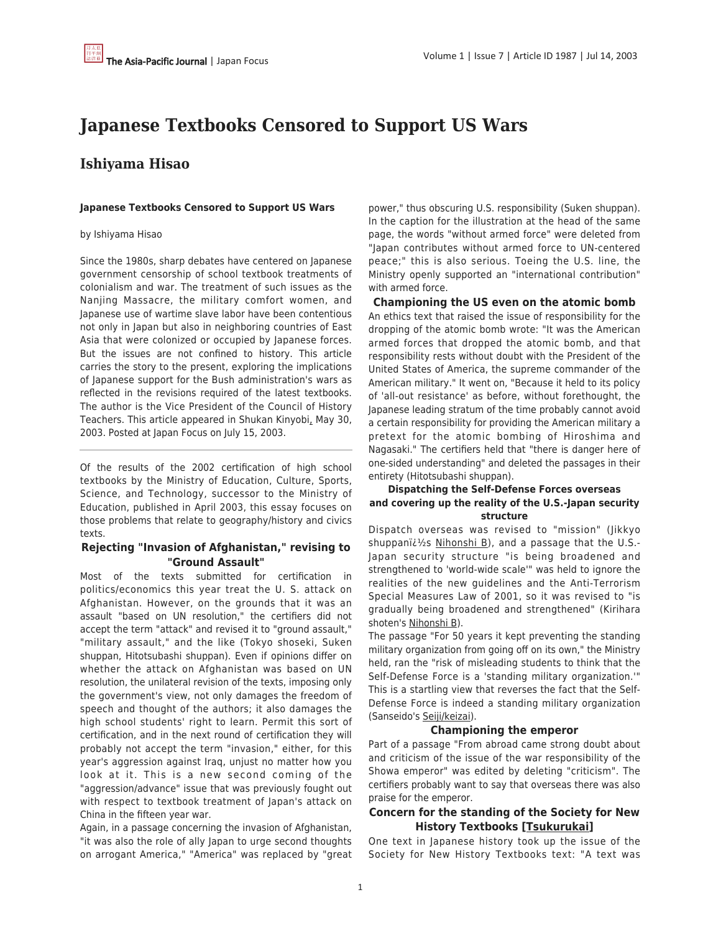# **Japanese Textbooks Censored to Support US Wars**

# **Ishiyama Hisao**

#### **Japanese Textbooks Censored to Support US Wars**

#### by Ishiyama Hisao

Since the 1980s, sharp debates have centered on Japanese government censorship of school textbook treatments of colonialism and war. The treatment of such issues as the Nanjing Massacre, the military comfort women, and Japanese use of wartime slave labor have been contentious not only in Japan but also in neighboring countries of East Asia that were colonized or occupied by Japanese forces. But the issues are not confined to history. This article carries the story to the present, exploring the implications of Japanese support for the Bush administration's wars as reflected in the revisions required of the latest textbooks. The author is the Vice President of the Council of History Teachers. This article appeared in Shukan Kinyobi, May 30, 2003. Posted at Japan Focus on July 15, 2003.

Of the results of the 2002 certification of high school textbooks by the Ministry of Education, Culture, Sports, Science, and Technology, successor to the Ministry of Education, published in April 2003, this essay focuses on those problems that relate to geography/history and civics texts.

# **Rejecting "Invasion of Afghanistan," revising to "Ground Assault"**

Most of the texts submitted for certification in politics/economics this year treat the U. S. attack on Afghanistan. However, on the grounds that it was an assault "based on UN resolution," the certifiers did not accept the term "attack" and revised it to "ground assault," "military assault," and the like (Tokyo shoseki, Suken shuppan, Hitotsubashi shuppan). Even if opinions differ on whether the attack on Afghanistan was based on UN resolution, the unilateral revision of the texts, imposing only the government's view, not only damages the freedom of speech and thought of the authors; it also damages the high school students' right to learn. Permit this sort of certification, and in the next round of certification they will probably not accept the term "invasion," either, for this year's aggression against Iraq, unjust no matter how you look at it. This is a new second coming of the "aggression/advance" issue that was previously fought out with respect to textbook treatment of Japan's attack on China in the fifteen year war.

Again, in a passage concerning the invasion of Afghanistan, "it was also the role of ally Japan to urge second thoughts on arrogant America," "America" was replaced by "great power," thus obscuring U.S. responsibility (Suken shuppan). In the caption for the illustration at the head of the same page, the words "without armed force" were deleted from "Japan contributes without armed force to UN-centered peace;" this is also serious. Toeing the U.S. line, the Ministry openly supported an "international contribution" with armed force.

**Championing the US even on the atomic bomb** An ethics text that raised the issue of responsibility for the dropping of the atomic bomb wrote: "It was the American armed forces that dropped the atomic bomb, and that responsibility rests without doubt with the President of the United States of America, the supreme commander of the American military." It went on, "Because it held to its policy of 'all-out resistance' as before, without forethought, the Japanese leading stratum of the time probably cannot avoid a certain responsibility for providing the American military a pretext for the atomic bombing of Hiroshima and Nagasaki." The certifiers held that "there is danger here of one-sided understanding" and deleted the passages in their entirety (Hitotsubashi shuppan).

#### **Dispatching the Self-Defense Forces overseas and covering up the reality of the U.S.-Japan security structure**

Dispatch overseas was revised to "mission" (Jikkyo shuppani $i\frac{1}{2}$ s Nihonshi B), and a passage that the U.S.-Japan security structure "is being broadened and strengthened to 'world-wide scale'" was held to ignore the realities of the new guidelines and the Anti-Terrorism Special Measures Law of 2001, so it was revised to "is gradually being broadened and strengthened" (Kirihara shoten's Nihonshi B).

The passage "For 50 years it kept preventing the standing military organization from going off on its own," the Ministry held, ran the "risk of misleading students to think that the Self-Defense Force is a 'standing military organization.'" This is a startling view that reverses the fact that the Self-Defense Force is indeed a standing military organization (Sanseido's Seiji/keizai).

## **Championing the emperor**

Part of a passage "From abroad came strong doubt about and criticism of the issue of the war responsibility of the Showa emperor" was edited by deleting "criticism". The certifiers probably want to say that overseas there was also praise for the emperor.

# **Concern for the standing of the Society for New History Textbooks [Tsukurukai]**

One text in Japanese history took up the issue of the Society for New History Textbooks text: "A text was